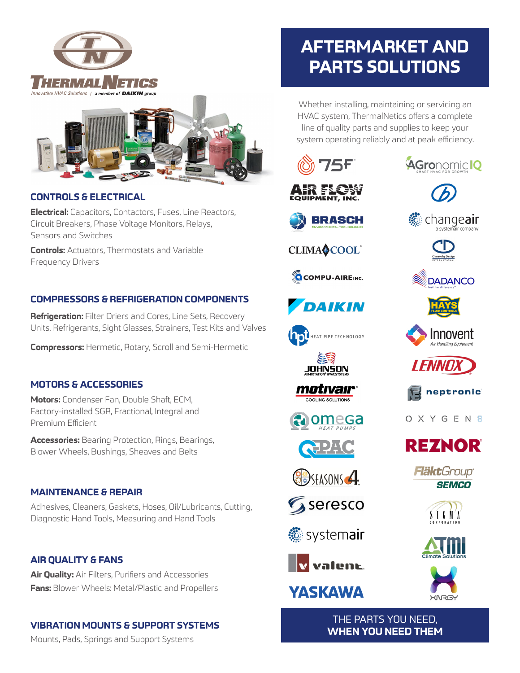



# **CONTROLS & ELECTRICAL**

**Electrical:** Capacitors, Contactors, Fuses, Line Reactors, Circuit Breakers, Phase Voltage Monitors, Relays, Sensors and Switches

**Controls:** Actuators, Thermostats and Variable Frequency Drivers

# **COMPRESSORS & REFRIGERATION COMPONENTS**

**Refrigeration:** Filter Driers and Cores, Line Sets, Recovery Units, Refrigerants, Sight Glasses, Strainers, Test Kits and Valves

**Compressors:** Hermetic, Rotary, Scroll and Semi-Hermetic

### **MOTORS & ACCESSORIES**

**Motors:** Condenser Fan, Double Shaft, ECM, Factory-installed SGR, Fractional, Integral and Premium Efficient

**Accessories:** Bearing Protection, Rings, Bearings, Blower Wheels, Bushings, Sheaves and Belts

### **MAINTENANCE & REPAIR**

Adhesives, Cleaners, Gaskets, Hoses, Oil/Lubricants, Cutting, Diagnostic Hand Tools, Measuring and Hand Tools

## **AIR QUALITY & FANS**

**Air Quality:** Air Filters, Purifiers and Accessories **Fans:** Blower Wheels: Metal/Plastic and Propellers

## **VIBRATION MOUNTS & SUPPORT SYSTEMS**

Mounts, Pads, Springs and Support Systems

# **AFTERMARKET AND PARTS SOLUTIONS**

Whether installing, maintaining or servicing an HVAC system, ThermalNetics offers a complete line of quality parts and supplies to keep your system operating reliably and at peak efficiency.



CLIMAOCOOL®

**COMPU-AIRE**INC.

**DAIKIN** 

HEAT PIPE TECHNOLOGY

<u>JOHNŚON</u>

motıvaır®

COOLING SOLUTIONS

 $\bigodot$  24 (e)

**B**SFASONS 4

Gseresco

**.** systemair

v valent.

**YASKAWA** 

omega



**AGronomic IQ** 













O X Y G E N 8











THE PARTS YOU NEED, **WHEN YOU NEED THEM**